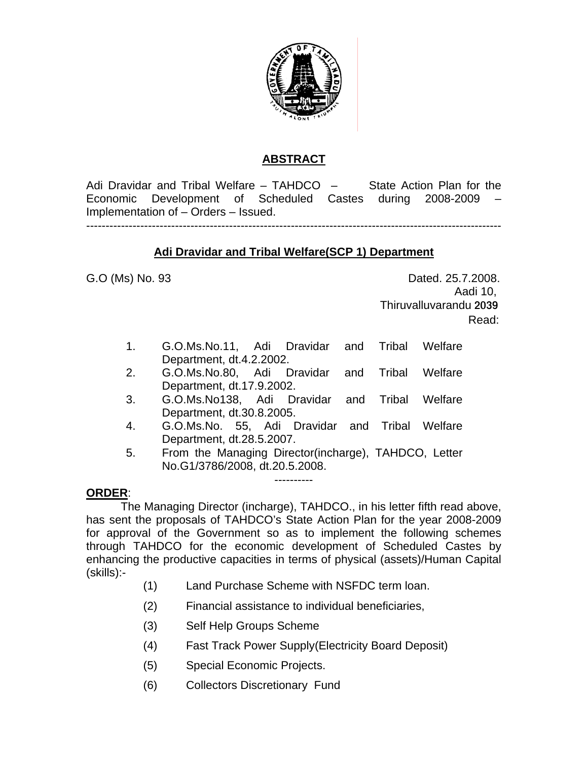

# **ABSTRACT**

Adi Dravidar and Tribal Welfare – TAHDCO – State Action Plan for the Economic Development of Scheduled Castes during 2008-2009 – Implementation of – Orders – Issued.

------------------------------------------------------------------------------------------------------------

## **Adi Dravidar and Tribal Welfare(SCP 1) Department**

G.O (Ms) No. 93 **Dated. 25.7.2008.**  Aadi 10, Thiruvalluvarandu 2039 **Read:** The contract of the contract of the contract of the contract of the contract of the contract of the contract of the contract of the contract of the contract of the contract of the contract of the contract of the co

- 1. G.O.Ms.No.11, Adi Dravidar and Tribal Welfare Department, dt.4.2.2002.
- 2. G.O.Ms.No.80, Adi Dravidar and Tribal Welfare Department, dt.17.9.2002.
- 3. G.O.Ms.No138, Adi Dravidar and Tribal Welfare Department, dt.30.8.2005.
- 4. G.O.Ms.No. 55, Adi Dravidar and Tribal Welfare Department, dt.28.5.2007.
- 5. From the Managing Director(incharge), TAHDCO, Letter No.G1/3786/2008, dt.20.5.2008.

----------

## **ORDER**:

 The Managing Director (incharge), TAHDCO., in his letter fifth read above, has sent the proposals of TAHDCO's State Action Plan for the year 2008-2009 for approval of the Government so as to implement the following schemes through TAHDCO for the economic development of Scheduled Castes by enhancing the productive capacities in terms of physical (assets)/Human Capital (skills):-

- (1) Land Purchase Scheme with NSFDC term loan.
- (2) Financial assistance to individual beneficiaries,
- (3) Self Help Groups Scheme
- (4) Fast Track Power Supply(Electricity Board Deposit)
- (5) Special Economic Projects.
- (6) Collectors Discretionary Fund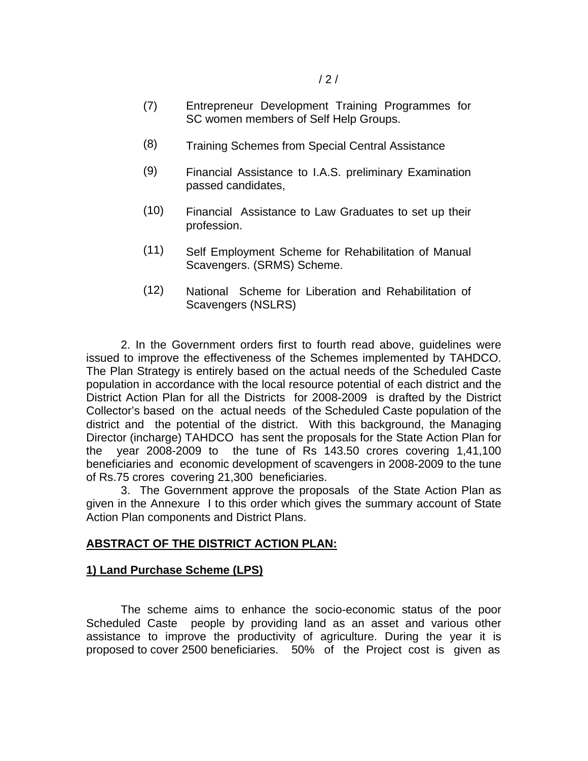- (7) Entrepreneur Development Training Programmes for SC women members of Self Help Groups.
- (8) Training Schemes from Special Central Assistance
- (9) Financial Assistance to I.A.S. preliminary Examination passed candidates,
- (10) Financial Assistance to Law Graduates to set up their profession.
- (11) Self Employment Scheme for Rehabilitation of Manual Scavengers. (SRMS) Scheme.
- (12) National Scheme for Liberation and Rehabilitation of Scavengers (NSLRS)

 2. In the Government orders first to fourth read above, guidelines were issued to improve the effectiveness of the Schemes implemented by TAHDCO. The Plan Strategy is entirely based on the actual needs of the Scheduled Caste population in accordance with the local resource potential of each district and the District Action Plan for all the Districts for 2008-2009 is drafted by the District Collector's based on the actual needs of the Scheduled Caste population of the district and the potential of the district. With this background, the Managing Director (incharge) TAHDCO has sent the proposals for the State Action Plan for the year 2008-2009 to the tune of Rs 143.50 crores covering 1,41,100 beneficiaries and economic development of scavengers in 2008-2009 to the tune of Rs.75 crores covering 21,300 beneficiaries.

 3. The Government approve the proposals of the State Action Plan as given in the Annexure I to this order which gives the summary account of State Action Plan components and District Plans.

## **ABSTRACT OF THE DISTRICT ACTION PLAN:**

#### **1) Land Purchase Scheme (LPS)**

 The scheme aims to enhance the socio-economic status of the poor Scheduled Caste people by providing land as an asset and various other assistance to improve the productivity of agriculture. During the year it is proposed to cover 2500 beneficiaries. 50% of the Project cost is given as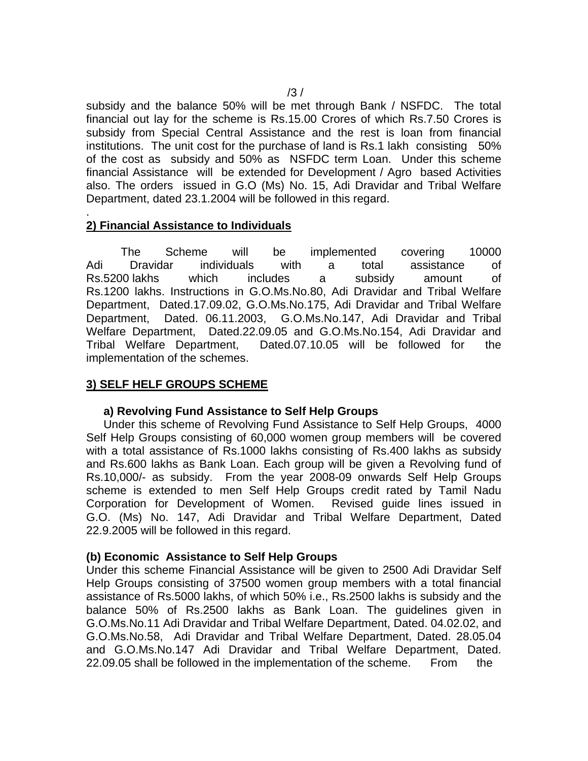subsidy and the balance 50% will be met through Bank / NSFDC. The total financial out lay for the scheme is Rs.15.00 Crores of which Rs.7.50 Crores is subsidy from Special Central Assistance and the rest is loan from financial institutions. The unit cost for the purchase of land is Rs.1 lakh consisting 50% of the cost as subsidy and 50% as NSFDC term Loan. Under this scheme financial Assistance will be extended for Development / Agro based Activities also. The orders issued in G.O (Ms) No. 15, Adi Dravidar and Tribal Welfare Department, dated 23.1.2004 will be followed in this regard.

#### . **2) Financial Assistance to Individuals**

 The Scheme will be implemented covering 10000 Adi Dravidar individuals with a total assistance of Rs.5200 lakhs which includes a subsidy amount of Rs.1200 lakhs. Instructions in G.O.Ms.No.80, Adi Dravidar and Tribal Welfare Department, Dated.17.09.02, G.O.Ms.No.175, Adi Dravidar and Tribal Welfare Department, Dated. 06.11.2003, G.O.Ms.No.147, Adi Dravidar and Tribal Welfare Department, Dated.22.09.05 and G.O.Ms.No.154, Adi Dravidar and Tribal Welfare Department, Dated.07.10.05 will be followed for the implementation of the schemes.

## **3) SELF HELF GROUPS SCHEME**

#### **a) Revolving Fund Assistance to Self Help Groups**

Under this scheme of Revolving Fund Assistance to Self Help Groups, 4000 Self Help Groups consisting of 60,000 women group members will be covered with a total assistance of Rs.1000 lakhs consisting of Rs.400 lakhs as subsidy and Rs.600 lakhs as Bank Loan. Each group will be given a Revolving fund of Rs.10,000/- as subsidy. From the year 2008-09 onwards Self Help Groups scheme is extended to men Self Help Groups credit rated by Tamil Nadu Corporation for Development of Women. Revised guide lines issued in G.O. (Ms) No. 147, Adi Dravidar and Tribal Welfare Department, Dated 22.9.2005 will be followed in this regard.

## **(b) Economic Assistance to Self Help Groups**

Under this scheme Financial Assistance will be given to 2500 Adi Dravidar Self Help Groups consisting of 37500 women group members with a total financial assistance of Rs.5000 lakhs, of which 50% i.e., Rs.2500 lakhs is subsidy and the balance 50% of Rs.2500 lakhs as Bank Loan. The guidelines given in G.O.Ms.No.11 Adi Dravidar and Tribal Welfare Department, Dated. 04.02.02, and G.O.Ms.No.58, Adi Dravidar and Tribal Welfare Department, Dated. 28.05.04 and G.O.Ms.No.147 Adi Dravidar and Tribal Welfare Department, Dated. 22.09.05 shall be followed in the implementation of the scheme. From the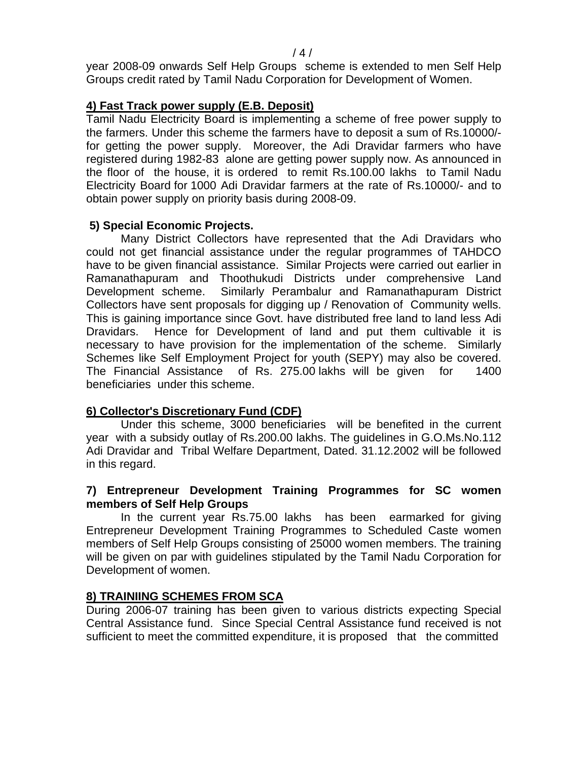year 2008-09 onwards Self Help Groups scheme is extended to men Self Help Groups credit rated by Tamil Nadu Corporation for Development of Women.

## **4) Fast Track power supply (E.B. Deposit)**

Tamil Nadu Electricity Board is implementing a scheme of free power supply to the farmers. Under this scheme the farmers have to deposit a sum of Rs.10000/ for getting the power supply. Moreover, the Adi Dravidar farmers who have registered during 1982-83 alone are getting power supply now. As announced in the floor of the house, it is ordered to remit Rs.100.00 lakhs to Tamil Nadu Electricity Board for 1000 Adi Dravidar farmers at the rate of Rs.10000/- and to obtain power supply on priority basis during 2008-09.

## **5) Special Economic Projects.**

Many District Collectors have represented that the Adi Dravidars who could not get financial assistance under the regular programmes of TAHDCO have to be given financial assistance. Similar Projects were carried out earlier in Ramanathapuram and Thoothukudi Districts under comprehensive Land Development scheme. Similarly Perambalur and Ramanathapuram District Collectors have sent proposals for digging up / Renovation of Community wells. This is gaining importance since Govt. have distributed free land to land less Adi Dravidars. Hence for Development of land and put them cultivable it is necessary to have provision for the implementation of the scheme. Similarly Schemes like Self Employment Project for youth (SEPY) may also be covered. The Financial Assistance of Rs. 275.00 lakhs will be given for 1400 beneficiaries under this scheme.

## **6) Collector's Discretionary Fund (CDF)**

 Under this scheme, 3000 beneficiaries will be benefited in the current year with a subsidy outlay of Rs.200.00 lakhs. The guidelines in G.O.Ms.No.112 Adi Dravidar and Tribal Welfare Department, Dated. 31.12.2002 will be followed in this regard.

## **7) Entrepreneur Development Training Programmes for SC women members of Self Help Groups**

 In the current year Rs.75.00 lakhs has been earmarked for giving Entrepreneur Development Training Programmes to Scheduled Caste women members of Self Help Groups consisting of 25000 women members. The training will be given on par with guidelines stipulated by the Tamil Nadu Corporation for Development of women.

# **8) TRAINIING SCHEMES FROM SCA**

During 2006-07 training has been given to various districts expecting Special Central Assistance fund. Since Special Central Assistance fund received is not sufficient to meet the committed expenditure, it is proposed that the committed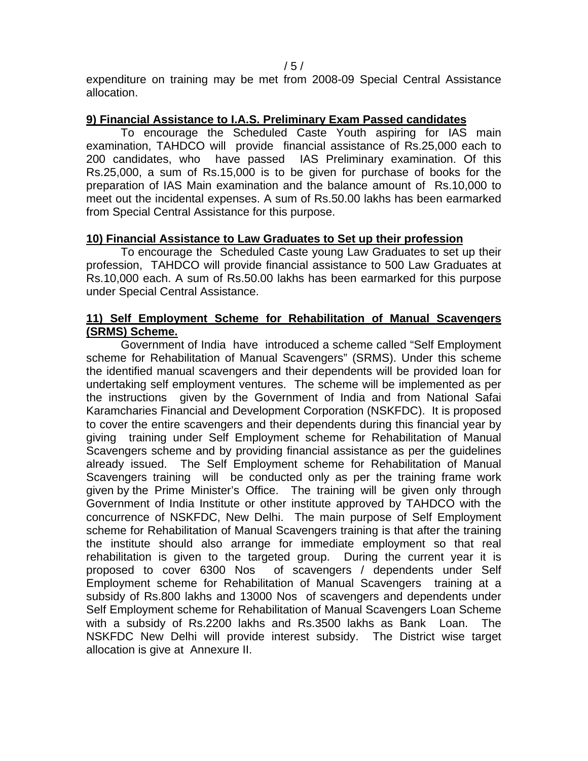$/ 5 / 5$ 

expenditure on training may be met from 2008-09 Special Central Assistance allocation.

### **9) Financial Assistance to I.A.S. Preliminary Exam Passed candidates**

To encourage the Scheduled Caste Youth aspiring for IAS main examination, TAHDCO will provide financial assistance of Rs.25,000 each to 200 candidates, who have passed IAS Preliminary examination. Of this Rs.25,000, a sum of Rs.15,000 is to be given for purchase of books for the preparation of IAS Main examination and the balance amount of Rs.10,000 to meet out the incidental expenses. A sum of Rs.50.00 lakhs has been earmarked from Special Central Assistance for this purpose.

### **10) Financial Assistance to Law Graduates to Set up their profession**

To encourage the Scheduled Caste young Law Graduates to set up their profession, TAHDCO will provide financial assistance to 500 Law Graduates at Rs.10,000 each. A sum of Rs.50.00 lakhs has been earmarked for this purpose under Special Central Assistance.

## **11) Self Employment Scheme for Rehabilitation of Manual Scavengers (SRMS) Scheme.**

Government of India have introduced a scheme called "Self Employment scheme for Rehabilitation of Manual Scavengers" (SRMS). Under this scheme the identified manual scavengers and their dependents will be provided loan for undertaking self employment ventures. The scheme will be implemented as per the instructions given by the Government of India and from National Safai Karamcharies Financial and Development Corporation (NSKFDC). It is proposed to cover the entire scavengers and their dependents during this financial year by giving training under Self Employment scheme for Rehabilitation of Manual Scavengers scheme and by providing financial assistance as per the guidelines already issued. The Self Employment scheme for Rehabilitation of Manual Scavengers training will be conducted only as per the training frame work given by the Prime Minister's Office. The training will be given only through Government of India Institute or other institute approved by TAHDCO with the concurrence of NSKFDC, New Delhi. The main purpose of Self Employment scheme for Rehabilitation of Manual Scavengers training is that after the training the institute should also arrange for immediate employment so that real rehabilitation is given to the targeted group. During the current year it is proposed to cover 6300 Nos of scavengers / dependents under Self Employment scheme for Rehabilitation of Manual Scavengers training at a subsidy of Rs.800 lakhs and 13000 Nos of scavengers and dependents under Self Employment scheme for Rehabilitation of Manual Scavengers Loan Scheme with a subsidy of Rs.2200 lakhs and Rs.3500 lakhs as Bank Loan. The NSKFDC New Delhi will provide interest subsidy. The District wise target allocation is give at Annexure II.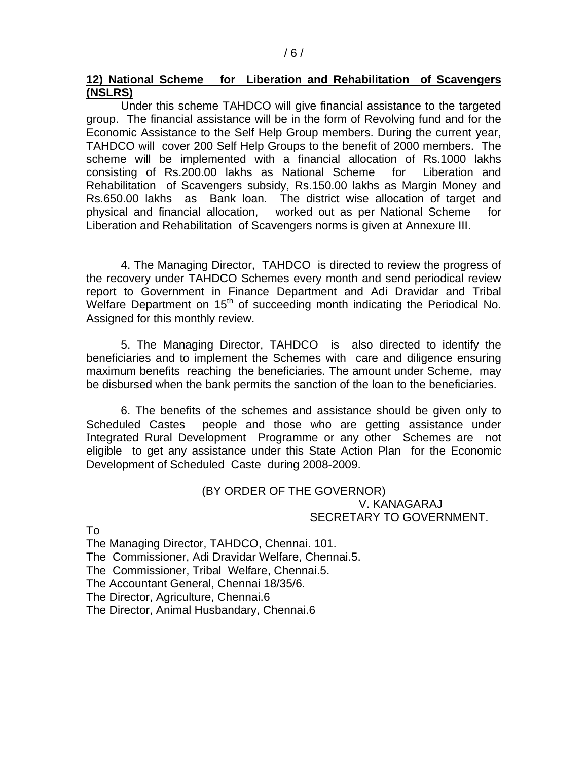#### **12) National Scheme for Liberation and Rehabilitation of Scavengers (NSLRS)**

Under this scheme TAHDCO will give financial assistance to the targeted group. The financial assistance will be in the form of Revolving fund and for the Economic Assistance to the Self Help Group members. During the current year, TAHDCO will cover 200 Self Help Groups to the benefit of 2000 members. The scheme will be implemented with a financial allocation of Rs.1000 lakhs consisting of Rs.200.00 lakhs as National Scheme for Liberation and Rehabilitation of Scavengers subsidy, Rs.150.00 lakhs as Margin Money and Rs.650.00 lakhs as Bank loan. The district wise allocation of target and physical and financial allocation, worked out as per National Scheme for Liberation and Rehabilitation of Scavengers norms is given at Annexure III.

 4. The Managing Director, TAHDCO is directed to review the progress of the recovery under TAHDCO Schemes every month and send periodical review report to Government in Finance Department and Adi Dravidar and Tribal Welfare Department on 15<sup>th</sup> of succeeding month indicating the Periodical No. Assigned for this monthly review.

 5. The Managing Director, TAHDCO is also directed to identify the beneficiaries and to implement the Schemes with care and diligence ensuring maximum benefits reaching the beneficiaries. The amount under Scheme, may be disbursed when the bank permits the sanction of the loan to the beneficiaries.

 6. The benefits of the schemes and assistance should be given only to Scheduled Castes people and those who are getting assistance under Integrated Rural Development Programme or any other Schemes are not eligible to get any assistance under this State Action Plan for the Economic Development of Scheduled Caste during 2008-2009.

#### (BY ORDER OF THE GOVERNOR) V. KANAGARAJ SECRETARY TO GOVERNMENT.

To

The Managing Director, TAHDCO, Chennai. 101. The Commissioner, Adi Dravidar Welfare, Chennai.5. The Commissioner, Tribal Welfare, Chennai.5. The Accountant General, Chennai 18/35/6. The Director, Agriculture, Chennai.6 The Director, Animal Husbandary, Chennai.6